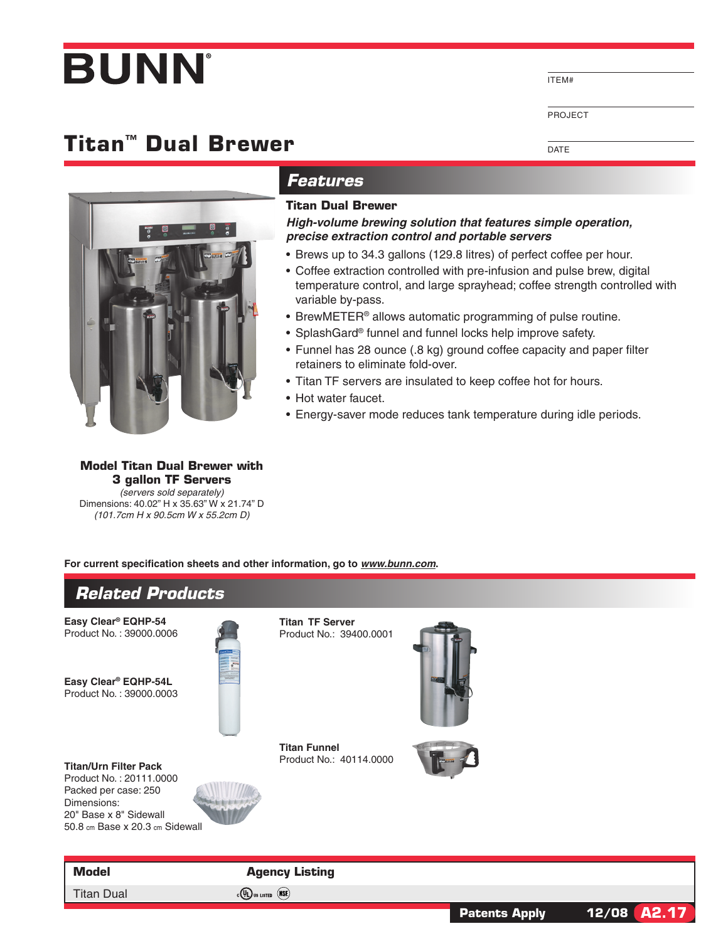# **BUNN**

## **Titan™ Dual Brewer**



#### *Features*

#### **Titan Dual Brewer**

*High-volume brewing solution that features simple operation, precise extraction control and portable servers*

- Brews up to 34.3 gallons (129.8 litres) of perfect coffee per hour.
- Coffee extraction controlled with pre-infusion and pulse brew, digital temperature control, and large sprayhead; coffee strength controlled with variable by-pass.

ITEM#

DATE

PROJECT

**Patents Apply 12/08 A2.17**

- BrewMETER<sup>®</sup> allows automatic programming of pulse routine.
- SplashGard® funnel and funnel locks help improve safety.
- Funnel has 28 ounce (.8 kg) ground coffee capacity and paper filter retainers to eliminate fold-over.
- Titan TF servers are insulated to keep coffee hot for hours.
- Hot water faucet.
- Energy-saver mode reduces tank temperature during idle periods.

**Model Titan Dual Brewer with 3 gallon TF Servers** *(servers sold separately)* Dimensions: 40.02" H x 35.63" W x 21.74" D *(101.7cm H x 90.5cm W x 55.2cm D)*

**For current specification sheets and other information, go to** *www.bunn.com***.**